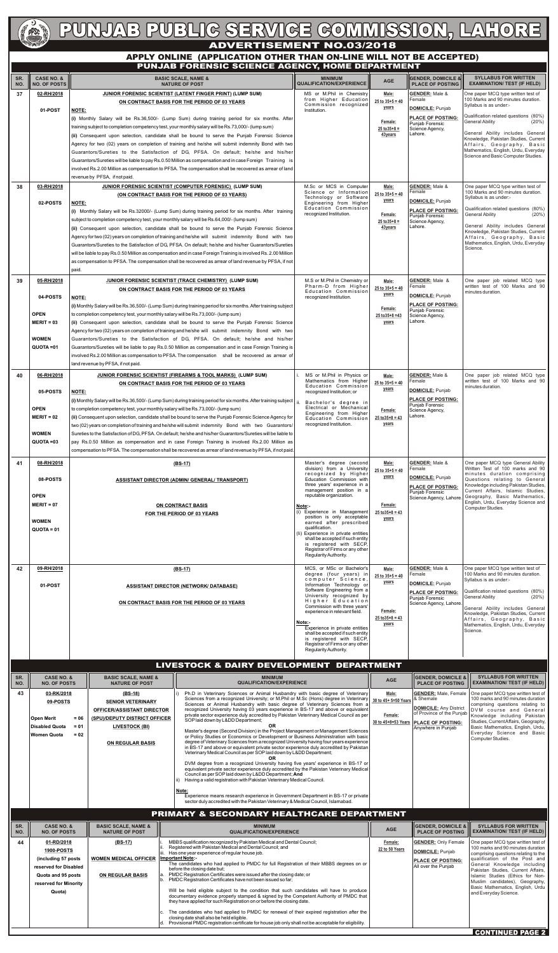

# PUNJAB PUBLIC SERVICE COMMISSION, LAHORE

| SR.<br>NO.       | <b>CASE NO. &amp;</b><br><b>NO. OF POSTS</b>                                                                                                                                                                                                                                                                                                                                                                    |                                                                                                                                                                                                                                                                                                                                                                                                                                                                                                                                                                                                                                                                                                                                                           | <b>BASIC SCALE, NAME &amp;</b><br><b>NATURE OF POST</b>                                                                                                                                                                                                                                                                                                                                                                                                                                                                                                                                                                                                                                                                                                                                                                                                                                                                                                                                                                                                                                                                                                                                                                                                                                                                                                                                        | <b>MINIMUM</b><br><b>QUALIFICATION/EXPERIENCE</b>                                                                                                                                                                                                                                                                                                                                                                             | <b>AGE</b>                                                                    | <b>GENDER, DOMICILE &amp;</b><br><b>PLACE OF POSTING</b>                                                                                                                                                      | <b>SYLLABUS FOR WRITTEN</b><br><b>EXAMINATION/ TEST (IF HELD)</b>                                                                                                                                                                                                                                                                                                                                                                                        |
|------------------|-----------------------------------------------------------------------------------------------------------------------------------------------------------------------------------------------------------------------------------------------------------------------------------------------------------------------------------------------------------------------------------------------------------------|-----------------------------------------------------------------------------------------------------------------------------------------------------------------------------------------------------------------------------------------------------------------------------------------------------------------------------------------------------------------------------------------------------------------------------------------------------------------------------------------------------------------------------------------------------------------------------------------------------------------------------------------------------------------------------------------------------------------------------------------------------------|------------------------------------------------------------------------------------------------------------------------------------------------------------------------------------------------------------------------------------------------------------------------------------------------------------------------------------------------------------------------------------------------------------------------------------------------------------------------------------------------------------------------------------------------------------------------------------------------------------------------------------------------------------------------------------------------------------------------------------------------------------------------------------------------------------------------------------------------------------------------------------------------------------------------------------------------------------------------------------------------------------------------------------------------------------------------------------------------------------------------------------------------------------------------------------------------------------------------------------------------------------------------------------------------------------------------------------------------------------------------------------------------|-------------------------------------------------------------------------------------------------------------------------------------------------------------------------------------------------------------------------------------------------------------------------------------------------------------------------------------------------------------------------------------------------------------------------------|-------------------------------------------------------------------------------|---------------------------------------------------------------------------------------------------------------------------------------------------------------------------------------------------------------|----------------------------------------------------------------------------------------------------------------------------------------------------------------------------------------------------------------------------------------------------------------------------------------------------------------------------------------------------------------------------------------------------------------------------------------------------------|
| 37               | 02-RH/2018                                                                                                                                                                                                                                                                                                                                                                                                      |                                                                                                                                                                                                                                                                                                                                                                                                                                                                                                                                                                                                                                                                                                                                                           | <b>JUNIOR FORENSIC SCIENTIST (LATENT FINGER PRINT) (LUMP SUM)</b><br>ON CONTRACT BASIS FOR THE PERIOD OF 03 YEARS                                                                                                                                                                                                                                                                                                                                                                                                                                                                                                                                                                                                                                                                                                                                                                                                                                                                                                                                                                                                                                                                                                                                                                                                                                                                              | MS or M.Phil in Chemistry<br>from Higher Education                                                                                                                                                                                                                                                                                                                                                                            | Male:<br>$25$ to $35+5=40$                                                    | <b>GENDER:</b> Male &<br>Female                                                                                                                                                                               | One paper MCQ type written test of<br>100 Marks and 90 minutes duration.                                                                                                                                                                                                                                                                                                                                                                                 |
|                  | 01-POST                                                                                                                                                                                                                                                                                                                                                                                                         | <b>NOTE:</b><br>revenue by PFSA, if not paid.                                                                                                                                                                                                                                                                                                                                                                                                                                                                                                                                                                                                                                                                                                             | (i) Monthly Salary will be Rs.36,500/- (Lump Sum) during training period for six months. After<br>training subject to completion competency test, your monthly salary will be Rs.73,000/- (lump sum)<br>(ii) Consequent upon selection, candidate shall be bound to serve the Punjab Forensic Science<br>Agency for two (02) years on completion of training and he/she will submit indemnity Bond with two<br>Guarantors/Sureties to the Satisfaction of DG, PFSA. On default; he/she and his/her<br>Guarantors/Sureties will be liable to pay Rs.0.50 Million as compensation and in case Foreign Training is<br>involved Rs.2.00 Million as compensation to PFSA. The compensation shall be recovered as arrear of land                                                                                                                                                                                                                                                                                                                                                                                                                                                                                                                                                                                                                                                                     | Commission recognized<br>Institution.                                                                                                                                                                                                                                                                                                                                                                                         | years<br>Female:<br>$25$ to $35+8=$<br>43years                                | DOMICILE: Punjab<br><b>PLACE OF POSTING:</b><br>Punjab Forensic<br>Science Agency,<br>Lahore.                                                                                                                 | Syllabus is as under:-<br>Qualification related questions (80%)<br><b>General Ability</b><br>(20%)<br>General Ability includes General<br>Knowledge, Pakistan Studies, Current<br>Affairs, Geography, Basic<br>Mathematics, English, Urdu, Everyday<br>Science and Basic Computer Studies.                                                                                                                                                               |
| 38               | 03-RH/2018<br>02-POSTS                                                                                                                                                                                                                                                                                                                                                                                          | <b>NOTE:</b><br>subject to completion competency test, your monthly salary will be Rs.64,000/- (lump sum)<br>paid.                                                                                                                                                                                                                                                                                                                                                                                                                                                                                                                                                                                                                                        | <b>JUNIOR FORENSIC SCIENTIST (COMPUTER FORENSIC) (LUMP SUM)</b><br>(ON CONTRACT BASIS FOR THE PERIOD OF 03 YEARS)<br>(i) Monthly Salary will be Rs.32000/- (Lump Sum) during training period for six months. After training<br>(ii) Consequent upon selection, candidate shall be bound to serve the Punjab Forensic Science<br>Agency for two (02) years on completion of training and he/she will submit indemnity Bond with two<br>Guarantors/Sureties to the Satisfaction of DG, PFSA. On default; he/she and his/her Guarantors/Sureties<br>will be liable to pay Rs.0.50 Million as compensation and in case Foreign Training is involved Rs. 2.00 Million<br>as compensation to PFSA. The compensation shall be recovered as arrear of land revenue by PFSA, if not                                                                                                                                                                                                                                                                                                                                                                                                                                                                                                                                                                                                                     | M.Sc or MCS in Computer<br>Science or Information<br>Technology or Software<br>Engineering from Higher<br>Education Commission<br>recognized Institution.                                                                                                                                                                                                                                                                     | Male:<br>$25$ to $35+5=40$<br>years<br>Female:<br>$25$ to $35+8=$<br>43years  | <b>GENDER:</b> Male &<br>Female<br>DOMICILE: Punjab<br><b>PLACE OF POSTING:</b><br>Punjab Forensic<br>Science Agency,<br>Lahore.                                                                              | One paper MCQ type written test of<br>100 Marks and 90 minutes duration.<br>Syllabus is as under:-<br>Qualification related questions (80%)<br><b>General Ability</b><br>$(20\%)$<br>General Ability includes General<br>Knowledge, Pakistan Studies, Current<br>Affairs, Geography, Basic<br>Mathematics, English, Urdu, Everyday<br>Science.                                                                                                           |
| 39               | 05-RH/2018<br>04-POSTS<br><b>OPEN</b><br>$MERIT = 03$<br><b>WOMEN</b><br>QUOTA=01                                                                                                                                                                                                                                                                                                                               | NOTE:<br>to completion competency test, your monthly salary will be Rs.73,000/- (lump sum)<br>land revenue by PFSA, if not paid.                                                                                                                                                                                                                                                                                                                                                                                                                                                                                                                                                                                                                          | <b>JUNIOR FORENSIC SCIENTIST (TRACE CHEMISTRY) (LUMP SUM)</b><br>ON CONTRACT BASIS FOR THE PERIOD OF 03 YEARS<br>(i) Monthly Salary will be Rs.36,500/- (Lump Sum) during training period for six months. After training subject<br>(ii) Consequent upon selection, candidate shall be bound to serve the Punjab Forensic Science<br>Agency for two (02) years on completion of training and he/she will submit indemnity Bond with two<br>Guarantors/Sureties to the Satisfaction of DG, PFSA. On default; he/she and his/her<br>Guarantors/Sureties will be liable to pay Rs.0.50 Million as compensation and in case Foreign Training is<br>involved Rs.2.00 Million as compensation to PFSA. The compensation shall be recovered as arrear of                                                                                                                                                                                                                                                                                                                                                                                                                                                                                                                                                                                                                                              | M.S or M.Phil in Chemistry or<br>Pharm-D from Higher<br>Education Commission<br>recognized Institution.                                                                                                                                                                                                                                                                                                                       | Male:<br>$25$ to $35+5=40$<br>years<br>Female:<br>$25$ to $35+8=43$<br>years  | <b>GENDER: Male &amp;</b><br>Female<br>DOMICILE: Punjab<br><b>PLACE OF POSTING:</b><br>Punjab Forensic<br>Science Agency,<br>Lahore.                                                                          | One paper job related MCQ type<br>written test of 100 Marks and 90<br>minutes duration.                                                                                                                                                                                                                                                                                                                                                                  |
| 40               | 06-RH/2018<br>05-POSTS                                                                                                                                                                                                                                                                                                                                                                                          | <b>NOTE:</b>                                                                                                                                                                                                                                                                                                                                                                                                                                                                                                                                                                                                                                                                                                                                              | JUNIOR FORENSIC SCIENTIST (FIREARMS & TOOL MARKS) (LUMP SUM)<br>ON CONTRACT BASIS FOR THE PERIOD OF 03 YEARS                                                                                                                                                                                                                                                                                                                                                                                                                                                                                                                                                                                                                                                                                                                                                                                                                                                                                                                                                                                                                                                                                                                                                                                                                                                                                   | MS or M.Phil in Physics or<br>Mathematics from Higher<br>Education Commission<br>recognized Institution; or                                                                                                                                                                                                                                                                                                                   | Male:<br>$25$ to $35+5=40$<br><u>years</u>                                    | <b>GENDER: Male &amp;</b><br>Female<br>DOMICILE: Punjab                                                                                                                                                       | One paper job related MCQ type<br>written test of 100 Marks and 90<br>minutes duration.                                                                                                                                                                                                                                                                                                                                                                  |
|                  | <b>OPEN</b><br>$MERIT = 02$<br><b>WOMEN</b><br>QUOTA=03                                                                                                                                                                                                                                                                                                                                                         | (i) Monthly Salary will be Rs.36,500/- (Lump Sum) during training period for six months. After training subject<br>to completion competency test, your monthly salary will be Rs.73,000/- (lump sum)<br>(ii) Consequent upon selection, candidate shall be bound to serve the Punjab Forensic Science Agency for<br>two (02) years on completion of training and he/she will submit indemnity Bond with two Guarantors/<br>Sureties to the Satisfaction of DG, PFSA. On default; he/she and his/her Guarantors/Sureties will be liable to<br>pay Rs.0.50 Million as compensation and in case Foreign Training is involved Rs.2.00 Million as<br>compensation to PFSA. The compensation shall be recovered as arrear of land revenue by PFSA, if not paid. | Bachelor's degree in<br>Electrical or Mechanical<br>Engineering from Higher<br>Education Commission<br>recognized Institution.                                                                                                                                                                                                                                                                                                                                                                                                                                                                                                                                                                                                                                                                                                                                                                                                                                                                                                                                                                                                                                                                                                                                                                                                                                                                 | Female:<br>$25$ to $35+8=43$<br>years                                                                                                                                                                                                                                                                                                                                                                                         | <b>PLACE OF POSTING:</b><br>Punjab Forensic<br>Science Agency,<br>Lahore.     |                                                                                                                                                                                                               |                                                                                                                                                                                                                                                                                                                                                                                                                                                          |
| 41               | 08-RH/2018<br>08-POSTS<br><b>OPEN</b>                                                                                                                                                                                                                                                                                                                                                                           |                                                                                                                                                                                                                                                                                                                                                                                                                                                                                                                                                                                                                                                                                                                                                           | $(BS-17)$<br><b>ASSISTANT DIRECTOR (ADMIN/ GENERAL/ TRANSPORT)</b>                                                                                                                                                                                                                                                                                                                                                                                                                                                                                                                                                                                                                                                                                                                                                                                                                                                                                                                                                                                                                                                                                                                                                                                                                                                                                                                             | Master's degree (second<br>division) from a University<br>recognized by Higher<br>Education Commission with<br>three years' experience in a<br>management position in a<br>reputable organization.                                                                                                                                                                                                                            | Male:<br>$25$ to $35+5=40$<br>years                                           | <b>GENDER:</b> Male &<br>Female<br>DOMICILE: Punjab<br><b>PLACE OF POSTING:</b><br>Punjab Forensic<br>Science Agency, Lahore                                                                                  | One paper MCQ type General Ability<br>Written Test of 100 marks and 90<br>minutes duration comprising<br>Questions relating to General<br>Knowledge including Pakistan Studies,<br>Current Affairs, Islamic Studies,<br>Geography, Basic Mathematics,<br>English, Urdu, Everyday Science and                                                                                                                                                             |
|                  | $MERIT = 07$<br><b>WOMEN</b><br>$QUOTA = 01$                                                                                                                                                                                                                                                                                                                                                                    |                                                                                                                                                                                                                                                                                                                                                                                                                                                                                                                                                                                                                                                                                                                                                           | ON CONTRACT BASIS<br>FOR THE PERIOD OF 03 YEARS                                                                                                                                                                                                                                                                                                                                                                                                                                                                                                                                                                                                                                                                                                                                                                                                                                                                                                                                                                                                                                                                                                                                                                                                                                                                                                                                                | Note:-<br>Experience in Management<br>position is only acceptable<br>earned after prescribed<br>qualification.<br>(li) Experience in private entities<br>shall be accepted if such entity<br>is registered with SECP,<br>Registrar of Firms or any other<br>Regularity Authority.                                                                                                                                             | Female:<br>$25$ to $35+8=43$<br>years                                         |                                                                                                                                                                                                               | Computer Studies.                                                                                                                                                                                                                                                                                                                                                                                                                                        |
| 42               | 09-RH/2018<br>01-POST                                                                                                                                                                                                                                                                                                                                                                                           |                                                                                                                                                                                                                                                                                                                                                                                                                                                                                                                                                                                                                                                                                                                                                           | $(BS-17)$<br><b>ASSISTANT DIRECTOR (NETWORK/ DATABASE)</b><br>ON CONTRACT BASIS FOR THE PERIOD OF 03 YEARS                                                                                                                                                                                                                                                                                                                                                                                                                                                                                                                                                                                                                                                                                                                                                                                                                                                                                                                                                                                                                                                                                                                                                                                                                                                                                     | MCS, or MSc or Bachelor's<br>degree (four years) in<br>computer Science,<br>Information Technology or<br>Software Engineering from a<br>University recognized by<br>Higher Education<br>Commission with three years'<br>experience in relevant field.<br>Note:-<br>Experience in private entities<br>shall be accepted if such entity<br>is registered with SECP,<br>Registrar of Firms or any other<br>Regularity Authority. | Male:<br>$25$ to $35+5=40$<br>years<br>Female:<br>$25$ to $35+8=43$<br>years  | <b>GENDER:</b> Male &<br>Female<br>DOMICILE: Punjab<br><b>PLACE OF POSTING:</b><br>Punjab Forensic<br>Science Agency, Lahore.                                                                                 | One paper MCQ type written test of<br>100 Marks and 90 minutes duration.<br>Syllabus is as under:-<br>Qualification related questions (80%)<br><b>General Ability</b><br>(20%)<br>General Ability includes General<br>Knowledge, Pakistan Studies, Current<br>Affairs, Geography, Basic<br>Mathematics, English, Urdu, Everyday<br>Science.                                                                                                              |
|                  |                                                                                                                                                                                                                                                                                                                                                                                                                 |                                                                                                                                                                                                                                                                                                                                                                                                                                                                                                                                                                                                                                                                                                                                                           | <b>LIVESTOCK &amp; DAIRY DEVELOPMENT DEPARTMENT</b>                                                                                                                                                                                                                                                                                                                                                                                                                                                                                                                                                                                                                                                                                                                                                                                                                                                                                                                                                                                                                                                                                                                                                                                                                                                                                                                                            |                                                                                                                                                                                                                                                                                                                                                                                                                               |                                                                               |                                                                                                                                                                                                               |                                                                                                                                                                                                                                                                                                                                                                                                                                                          |
| SR.<br>NO.<br>43 | <b>CASE NO. &amp;</b><br><b>BASIC SCALE, NAME &amp;</b><br><b>NO. OF POSTS</b><br><b>NATURE OF POST</b><br>03-RK/2018<br>$(BS-18)$<br><b>SENIOR VETERINARY</b><br>09-POSTS<br><b>OFFICER/ASSISTANT DIRECTOR</b><br><b>Open Merit</b><br>(SPU)/DEPUTY DISTRICT OFFICER<br>$= 06$<br><b>Disabled Quota</b><br>$= 01$<br><b>LIVESTOCK (BI)</b><br><b>Women Quota</b><br>$= 02$<br><b>ON REGULAR BASIS</b><br>Note: |                                                                                                                                                                                                                                                                                                                                                                                                                                                                                                                                                                                                                                                                                                                                                           | <b>MINIMUM</b><br><b>QUALIFICATION/EXPERIENCE</b><br>Ph.D in Veterinary Sciences or Animal Husbandry with basic degree of Veterinary<br>Sciences from a recognized University; or M.Phil or M.Sc (Hons) degree in Veterinary<br>Sciences or Animal Husbandry with basic degree of Veterinary Sciences from a<br>recognized University having 03 years experience in BS-17 and above or equivalent<br>private sector experience duly accredited by Pakistan Veterinary Medical Council as per<br>SOP laid down by Lⅅ Department;<br><b>OR</b><br>Master's degree (Second Division) in the Project Management or Management Sciences<br>or Policy Studies or Economics or Development or Business Administration with basic<br>degree of Veterinary Sciences from a recognized University having four years experience<br>in BS-17 and above or equivalent private sector experience duly accredited by Pakistan<br>Veterinary Medical Council as per SOP laid down by Lⅅ Department;<br>OR.<br>DVM degree from a recognized University having five years' experience in BS-17 or<br>equivalent private sector experience duly accredited by the Pakistan Veterinary Medical<br>Council as per SOP laid down by Lⅅ Department; And<br>Having a valid registration with Pakistan Veterinary Medical Council.<br>Experience means research experience in Government Department in BS-17 or private |                                                                                                                                                                                                                                                                                                                                                                                                                               | <b>AGE</b><br>Male:<br>30 to 45+ 5=50 Years<br>Female:<br>30 to 45+8=53 Years | <b>GENDER, DOMICILE &amp;</b><br><b>PLACE OF POSTING</b><br><b>GENDER:</b> Male, Female<br>& Shemale<br>DOMICILE: Any District<br>of Province of the Punjab<br><b>PLACE OF POSTING:</b><br>Anywhere in Punjab | <b>SYLLABUS FOR WRITTEN</b><br><b>EXAMINATION/ TEST (IF HELD)</b><br>One paper MCQ type written test of<br>100 marks and 90 minutes duration<br>comprising questions relating to<br>DVM course and General<br>Knowledge including Pakistan<br>Studies, Current Affairs, Geography,<br>Basic Mathematics, English, Urdu,<br>Everyday Science and Basic<br>Computer Studies.                                                                               |
|                  |                                                                                                                                                                                                                                                                                                                                                                                                                 |                                                                                                                                                                                                                                                                                                                                                                                                                                                                                                                                                                                                                                                                                                                                                           | sector duly accredited with the Pakistan Veterinary & Medical Council, Islamabad.<br><b>PRIMARY &amp; SECONDARY HEALTHCARE DEPARTMENT</b>                                                                                                                                                                                                                                                                                                                                                                                                                                                                                                                                                                                                                                                                                                                                                                                                                                                                                                                                                                                                                                                                                                                                                                                                                                                      |                                                                                                                                                                                                                                                                                                                                                                                                                               |                                                                               |                                                                                                                                                                                                               |                                                                                                                                                                                                                                                                                                                                                                                                                                                          |
| SR.<br>NO.<br>44 | <b>CASE NO. &amp;</b><br><b>NO. OF POSTS</b><br>01-RD/2018<br><b>1900-POSTS</b><br>(including 57 posts<br>reserved for Disabled<br>Quota and 95 posts<br>reserved for Minority<br>Quota)                                                                                                                                                                                                                        | <b>BASIC SCALE, NAME &amp;</b><br><b>NATURE OF POST</b><br>$(BS-17)$<br><b>WOMEN MEDICAL OFFICER   Important Note:-</b><br>la.<br><b>ON REGULAR BASIS</b>                                                                                                                                                                                                                                                                                                                                                                                                                                                                                                                                                                                                 | <b>MINIMUM</b><br><b>QUALIFICATION/EXPERIENCE</b><br>MBBS qualification recognized by Pakistan Medical and Dental Council;<br>Registered with Pakistan Medical and Dental Council; and<br>iii. Has one year experience of regular house job.<br>The candidates who had applied to PMDC for full Registration of their MBBS degrees on or<br>before the closing date but;<br>PMDC Registration Certificates were issued after the closing date; or<br>b. PMDC Registration Certificates have not been issued so far;<br>Will be held eligible subject to the condition that such candidates will have to produce<br>documentary evidence properly stamped & signed by the Competent Authority of PMDC that<br>they have applied for such Registration on or before the closing date.<br>The candidates who had applied to PMDC for renewal of their expired registration after the<br>closing date shall also be held eligible.<br>d. Provisional PMDC registration certificate for house job only shall not be acceptable for eligibility.                                                                                                                                                                                                                                                                                                                                                     |                                                                                                                                                                                                                                                                                                                                                                                                                               | <b>AGE</b><br>Female:<br>22 to 50 Years                                       | <b>GENDER, DOMICILE &amp;</b><br><b>PLACE OF POSTING</b><br><b>GENDER: Only Female</b><br>DOMICILE: Punjab<br><b>PLACE OF POSTING:</b><br>All over the Punjab                                                 | <b>SYLLABUS FOR WRITTEN</b><br><b>EXAMINATION/ TEST (IF HELD)</b><br>One paper MCQ type written test of<br>100 marks and 90 minutes duration<br>comprising questions relating to the<br>qualification of the Post and<br>General Knowledge including<br>Pakistan Studies, Current Affairs,<br>Islamic Studies (Ethics for Non-<br>Muslim candidates), Geography,<br>Basic Mathematics, English, Urdu<br>and Everyday Science.<br><b>CONTINUED PAGE 2</b> |

#### **PUNJAB FORENSIC SCIENCE AGENCY, HOME DEPARTMENT APPLY ONLINE (APPLICATION OTHER THAN ON-LINE WILL NOT BE ACCEPTED)**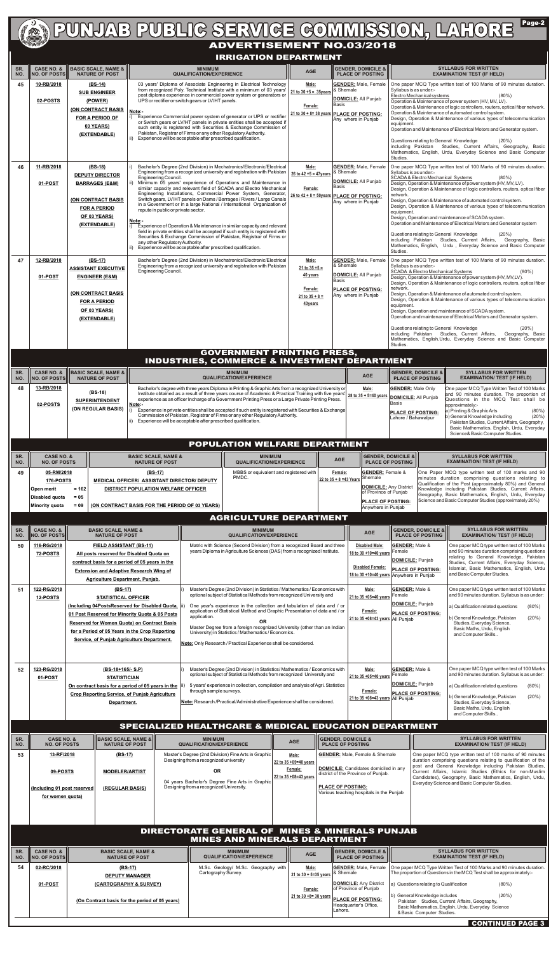## Page-2 **ADVERTISE ADVERTISEMENT NO.03/2018**

#### **IRRIGATION DEPARTMENT**

|            |                                                                                                           |  |                                                                                                                                                      |                                                                                                                                                                                                                                                                                                                                                                                                                                                                                                                                                                                                        |                                                                                                                                                                                       | IKRIGATION DEPARTMENT                                                                                                                                                                                                                                                                                                                                                                                                                                                                                                                                                                                                                                                                                                                            |                                                                                                |                           |                                                                                                                                                    |                                                                                                                     |                                                                                                                                                                                                                                                                                                                                                                                                                                                                                                                                                                                                                                                                                                                                                                               |                                                                                                                                                                                                                                                                                                                                                                                                                                                                                                                                                                                   |  |  |
|------------|-----------------------------------------------------------------------------------------------------------|--|------------------------------------------------------------------------------------------------------------------------------------------------------|--------------------------------------------------------------------------------------------------------------------------------------------------------------------------------------------------------------------------------------------------------------------------------------------------------------------------------------------------------------------------------------------------------------------------------------------------------------------------------------------------------------------------------------------------------------------------------------------------------|---------------------------------------------------------------------------------------------------------------------------------------------------------------------------------------|--------------------------------------------------------------------------------------------------------------------------------------------------------------------------------------------------------------------------------------------------------------------------------------------------------------------------------------------------------------------------------------------------------------------------------------------------------------------------------------------------------------------------------------------------------------------------------------------------------------------------------------------------------------------------------------------------------------------------------------------------|------------------------------------------------------------------------------------------------|---------------------------|----------------------------------------------------------------------------------------------------------------------------------------------------|---------------------------------------------------------------------------------------------------------------------|-------------------------------------------------------------------------------------------------------------------------------------------------------------------------------------------------------------------------------------------------------------------------------------------------------------------------------------------------------------------------------------------------------------------------------------------------------------------------------------------------------------------------------------------------------------------------------------------------------------------------------------------------------------------------------------------------------------------------------------------------------------------------------|-----------------------------------------------------------------------------------------------------------------------------------------------------------------------------------------------------------------------------------------------------------------------------------------------------------------------------------------------------------------------------------------------------------------------------------------------------------------------------------------------------------------------------------------------------------------------------------|--|--|
| SR.<br>NO. | <b>CASE NO. &amp;</b><br><b>NO. OF POSTS</b>                                                              |  | <b>BASIC SCALE, NAME &amp;</b><br><b>NATURE OF POST</b>                                                                                              |                                                                                                                                                                                                                                                                                                                                                                                                                                                                                                                                                                                                        | <b>MINIMUM</b><br><b>QUALIFICATION/EXPERIENCE</b>                                                                                                                                     |                                                                                                                                                                                                                                                                                                                                                                                                                                                                                                                                                                                                                                                                                                                                                  | <b>AGE</b>                                                                                     |                           | <b>GENDER, DOMICILE &amp;</b><br><b>PLACE OF POSTING</b>                                                                                           |                                                                                                                     |                                                                                                                                                                                                                                                                                                                                                                                                                                                                                                                                                                                                                                                                                                                                                                               | <b>SYLLABUS FOR WRITTEN</b><br><b>EXAMINATION/ TEST (IF HELD)</b>                                                                                                                                                                                                                                                                                                                                                                                                                                                                                                                 |  |  |
| 45         | 10-RB/2018<br>02-POSTS                                                                                    |  | $(BS-14)$<br><b>SUB ENGINEER</b><br>(POWER)<br>(ON CONTRACT BASIS<br><b>FOR A PERIOD OF</b><br>03 YEARS)<br>(EXTENDABLE)                             | Note:-<br>ii)                                                                                                                                                                                                                                                                                                                                                                                                                                                                                                                                                                                          | UPS or rectifier or switch gears or LV/HT panels.<br>Pakistan, Registrar of Firms or any other Regulatory Authority.<br>Experience will be acceptable after prescribed qualification. | 03 years' Diploma of Associate Engineering in Electrical Technology<br>from recognized Poly. Technical Institute with a minimum of 03 years'<br>post diploma experience in commercial power system or generators or<br>Experience Commercial power system of generator or UPS or rectifier<br>or Switch gears or LV/HT panels in private entities shall be accepted if<br>such entity is registered with Securities & Exchange Commission of                                                                                                                                                                                                                                                                                                     | Male:<br>$21 to 30 + 5 = 35 years$<br>Female:<br>$21$ to $30 + 8 = 38$ years PLACE OF POSTING: | & Shemale<br> Basis       | <b>GENDER: Male, Female</b><br><b>DOMICILE:</b> All Punjab<br>Any where in Punjab                                                                  | Syllabus is as under:-<br>equipment.<br>Studies.                                                                    | One paper MCQ Type written test of 100 Marks of 90 minutes duration.                                                                                                                                                                                                                                                                                                                                                                                                                                                                                                                                                                                                                                                                                                          | Electro Mechanical systems<br>$(80\%)$<br>Operation & Maintenance of power system (HV, MV, LV).<br>Operation & Maintenance of logic controllers, routers, optical fiber network.<br>Operation & Maintenance of automated control system.<br>Design, Operation & Maintenance of various types of telecommunication<br>Operation and Maintenance of Electrical Motors and Generator system.<br>Questions relating to General Knowledge<br>(20%)<br>including Pakistan Studies, Current Affairs, Geography, Basic<br>Mathematics, English, Urdu, Everyday Science and Basic Computer |  |  |
| 46         | 11-RB/2018<br>01-POST                                                                                     |  | $(BS-18)$<br><b>DEPUTY DIRECTOR</b><br><b>BARRAGES (E&amp;M)</b><br><b>(ON CONTRACT BASIS</b><br><b>FOR A PERIOD</b><br>OF 03 YEARS)<br>(EXTENDABLE) | Engineering Council.<br>l ii)<br>repute in public or private sector.<br>Note:-<br>any other Regulatory Authority.                                                                                                                                                                                                                                                                                                                                                                                                                                                                                      | Experience will be acceptable after prescribed qualification.                                                                                                                         | Bachelor's Degree (2nd Division) in Mechatronics/Electronic/Electrical<br>Engineering from a recognized university and registration with Pakistan<br>Minimum 05 years' experience of Operations and Maintenance in<br>similar capacity and relevant field of SCADA and Electro Mechanical<br>Engineering Installations, Commercial Power System, Generator,<br>Switch gears, LV/HT panels on Dams / Barrages / Rivers / Large Canals<br>in a Government or in a large National / International Organization of<br>Experience of Operation & Maintenance in similar capacity and relevant<br>field in private entities shall be accepted if such entity is registered with<br>Securities & Exchange Commission of Pakistan, Registrar of Firms or | Male:<br>26 to 42 $+5 = 47$ years<br>Female:<br>26 to 42 + 8 = 50years PLACE OF POSTING:       | & Shemale<br>lBasis       | <b>GENDER: Male, Female</b><br><b>DOMICILE: All Punjab</b><br>Any where in Punjab                                                                  | network.<br>equipment.<br>Studies.                                                                                  | One paper MCQ Type written test of 100 Marks of 90 minutes duration.<br>Syllabus is as under:-<br><b>SCADA &amp; Electro Mechanical Systems</b><br>$(80\%)$<br>Design, Operation & Maintenance of power system (HV, MV, LV).<br>Design, Operation & Maintenance of logic controllers, routers, optical fiber<br>Design, Operation & Maintenance of automated control system.<br>Design, Operation & Maintenance of various types of telecommunication<br>Design, Operation and maintenance of SCADA system.<br>Operation and Maintenance of Electrical Motors and Generator system<br>Questions relating to General Knowledge<br>$(20\%)$<br>including Pakistan Studies, Current Affairs, Geography, Basic<br>Mathematics, English, Urdu, Everyday Science and Basic Computer |                                                                                                                                                                                                                                                                                                                                                                                                                                                                                                                                                                                   |  |  |
| 47         | 12-RB/2018<br>01-POST                                                                                     |  | $(BS-17)$<br><b>ASSISTANT EXECUTIVE</b><br><b>ENGINEER (E&amp;M)</b><br>(ON CONTRACT BASIS<br><b>FOR A PERIOD</b><br>OF 03 YEARS)<br>(EXTENDABLE)    | Engineering Council.                                                                                                                                                                                                                                                                                                                                                                                                                                                                                                                                                                                   |                                                                                                                                                                                       | Bachelor's Degree (2nd Division) in Mechatronics/Electronic/Electrical<br>Engineering from a recognized university and registration with Pakistan                                                                                                                                                                                                                                                                                                                                                                                                                                                                                                                                                                                                | Male:<br>$21$ to $35 + 5 =$<br>40 years<br>Female:<br>21 to $35 + 8 =$<br>43years              | & Shemale<br><b>Basis</b> | <b>GENDER:</b> Male, Female<br><b>DOMICILE: All Punjab</b><br>PLACE OF POSTING:<br>Any where in Punjab                                             | network.<br>equipment.                                                                                              | One paper MCQ Type written test of 100 Marks of 90 minutes duration.<br>Syllabus is as under:-<br><b>SCADA &amp; Electro Mechanical Systems</b><br>$(80\%)$<br>Design, Operation & Maintenance of power system (HV, MV,LV).<br>Design, Operation & Maintenance of logic controllers, routers, optical fiber<br>Design, Operation & Maintenance of automated control system.<br>Design, Operation & Maintenance of various types of telecommunication<br>Design, Operation and maintenance of SCADA system.<br>Operation and maintenance of Electrical Motors and Generator system.<br>Questions relating to General Knowledge<br>(20%)<br>including Pakistan Studies, Current Affairs,<br>Geography, Basic<br>Mathematics, English, Urdu, Everyday Science and Basic Computer |                                                                                                                                                                                                                                                                                                                                                                                                                                                                                                                                                                                   |  |  |
|            |                                                                                                           |  |                                                                                                                                                      |                                                                                                                                                                                                                                                                                                                                                                                                                                                                                                                                                                                                        |                                                                                                                                                                                       | <b>GOVERNMENT PRINTING PRESS,</b><br><b>INDUSTRIES, COMMERCE &amp; INVESTMENT DEPARTMENT</b>                                                                                                                                                                                                                                                                                                                                                                                                                                                                                                                                                                                                                                                     |                                                                                                |                           |                                                                                                                                                    | Studies.                                                                                                            |                                                                                                                                                                                                                                                                                                                                                                                                                                                                                                                                                                                                                                                                                                                                                                               |                                                                                                                                                                                                                                                                                                                                                                                                                                                                                                                                                                                   |  |  |
| SR.<br>NO. | <b>CASE NO. &amp;</b><br><b>NO. OF POSTS</b>                                                              |  | <b>BASIC SCALE, NAME &amp;</b><br><b>NATURE OF POST</b>                                                                                              | <b>MINIMUM</b><br><b>QUALIFICATION/EXPERIENCE</b>                                                                                                                                                                                                                                                                                                                                                                                                                                                                                                                                                      |                                                                                                                                                                                       |                                                                                                                                                                                                                                                                                                                                                                                                                                                                                                                                                                                                                                                                                                                                                  |                                                                                                | <b>AGE</b>                | <b>GENDER, DOMICILE &amp;</b><br><b>PLACE OF POSTING</b>                                                                                           |                                                                                                                     | <b>SYLLABUS FOR WRITTEN</b><br><b>EXAMINATION/ TEST (IF HELD)</b>                                                                                                                                                                                                                                                                                                                                                                                                                                                                                                                                                                                                                                                                                                             |                                                                                                                                                                                                                                                                                                                                                                                                                                                                                                                                                                                   |  |  |
| 48         | 13-RB/2018<br>02-POSTS                                                                                    |  | (BS-18)<br><b>SUPERINTENDENT</b><br>(ON REGULAR BASIS)                                                                                               | Bachelor's degree with three years Diploma in Printing & Graphic Arts from a recognized University or<br>Institute obtained as a result of three years course of Academic & Practical Training with five years'<br>experience as an officer Incharge of a Government Printing Press or a Large Private Printing Press.<br>Note:-<br>Experience in private entities shall be accepted if such entity is registered with Securities & Exchange<br>l i)<br>Commission of Pakistan, Registrar of Firms or any other Regulatory Authority.<br>Experience will be acceptable after prescribed qualification. |                                                                                                                                                                                       |                                                                                                                                                                                                                                                                                                                                                                                                                                                                                                                                                                                                                                                                                                                                                  |                                                                                                |                           | Male:<br>28 to 35 + 5=40 years                                                                                                                     | <b>GENDER:</b> Male Only<br><b>DOMICILE:</b> All Punjab<br>Basis<br><b>PLACE OF POSTING:</b><br>Lahore / Bahawalpur |                                                                                                                                                                                                                                                                                                                                                                                                                                                                                                                                                                                                                                                                                                                                                                               | One paper MCQ Type Written Test of 100 Marks<br>and 90 minutes duration. The proportion of<br>Questions in the MCQ Test shall be<br>approximately:-<br>a) Printing & Graphic Arts<br>$(80\%)$<br>b) General Knowledge including<br>(20%)<br>Pakistan Studies, Current Affairs, Geography,<br>Basic Mathematics, English, Urdu, Everyday<br>Science& Basic Computer Studies.                                                                                                                                                                                                       |  |  |
|            |                                                                                                           |  |                                                                                                                                                      |                                                                                                                                                                                                                                                                                                                                                                                                                                                                                                                                                                                                        |                                                                                                                                                                                       | <b>POPULATION WELFARE DEPARTMENT</b>                                                                                                                                                                                                                                                                                                                                                                                                                                                                                                                                                                                                                                                                                                             |                                                                                                |                           |                                                                                                                                                    |                                                                                                                     |                                                                                                                                                                                                                                                                                                                                                                                                                                                                                                                                                                                                                                                                                                                                                                               |                                                                                                                                                                                                                                                                                                                                                                                                                                                                                                                                                                                   |  |  |
| SR.<br>NO. | <b>CASE NO. &amp;</b><br><b>NO. OF POSTS</b>                                                              |  |                                                                                                                                                      | <b>BASIC SCALE, NAME &amp;</b><br><b>NATURE OF POST</b>                                                                                                                                                                                                                                                                                                                                                                                                                                                                                                                                                |                                                                                                                                                                                       | <b>MINIMUM</b><br><b>QUALIFICATION/EXPERIENCE</b>                                                                                                                                                                                                                                                                                                                                                                                                                                                                                                                                                                                                                                                                                                |                                                                                                | <b>AGE</b>                |                                                                                                                                                    | <b>GENDER, DOMICILE &amp;</b><br><b>PLACE OF POSTING</b>                                                            |                                                                                                                                                                                                                                                                                                                                                                                                                                                                                                                                                                                                                                                                                                                                                                               | <b>SYLLABUS FOR WRITTEN</b><br><b>EXAMINATION/ TEST (IF HELD)</b>                                                                                                                                                                                                                                                                                                                                                                                                                                                                                                                 |  |  |
| 49         | 05-RM/2018<br>176-POSTS<br>$= 162$<br>Open merit<br>Disabled quota<br>$= 0.5$<br>Minority quota<br>$= 09$ |  |                                                                                                                                                      | (BS-17)<br>MBBS or equivalent and registered with<br>PMDC.<br>MEDICAL OFFICER/ ASSISTANT DIRECTOR/ DEPUTY<br><b>DISTRICT POPULATION WELFARE OFFICER</b><br>(ON CONTRACT BASIS FOR THE PERIOD OF 03 YEARS)                                                                                                                                                                                                                                                                                                                                                                                              |                                                                                                                                                                                       |                                                                                                                                                                                                                                                                                                                                                                                                                                                                                                                                                                                                                                                                                                                                                  | Female:<br>22 to 35 + 8 = 43 Years                                                             |                           | <b>GENDER: Female &amp;</b><br>Shemale<br><b>DOMICILE:</b> Any District<br>of Province of Punjab<br><b>PLACE OF POSTING:</b><br>Anywhere in Punjab |                                                                                                                     |                                                                                                                                                                                                                                                                                                                                                                                                                                                                                                                                                                                                                                                                                                                                                                               | One Paper MCQ type written test of 100 marks and 90<br>minutes duration comprising questions relating to<br>Qualification of the Post (approximately 80%) and General<br>Knowledge including Pakistan Studies, Current Affairs,<br>Geography, Basic Mathematics, English, Urdu, Everyday<br>Science and Basic Computer Studies (approximately 20%)                                                                                                                                                                                                                                |  |  |
|            |                                                                                                           |  |                                                                                                                                                      |                                                                                                                                                                                                                                                                                                                                                                                                                                                                                                                                                                                                        |                                                                                                                                                                                       | <b>AGRICULTURE DEPARTMENT</b>                                                                                                                                                                                                                                                                                                                                                                                                                                                                                                                                                                                                                                                                                                                    |                                                                                                |                           |                                                                                                                                                    |                                                                                                                     |                                                                                                                                                                                                                                                                                                                                                                                                                                                                                                                                                                                                                                                                                                                                                                               |                                                                                                                                                                                                                                                                                                                                                                                                                                                                                                                                                                                   |  |  |
| SR.<br>NO. | <b>CASE NO. &amp;</b><br><b>NO. OF POSTS</b>                                                              |  | <b>BASIC SCALE, NAME &amp;</b><br><b>NATURE OF POST</b>                                                                                              |                                                                                                                                                                                                                                                                                                                                                                                                                                                                                                                                                                                                        |                                                                                                                                                                                       | <b>MINIMUM</b><br><b>QUALIFICATION/EXPERIENCE</b>                                                                                                                                                                                                                                                                                                                                                                                                                                                                                                                                                                                                                                                                                                |                                                                                                |                           | <b>AGE</b>                                                                                                                                         |                                                                                                                     | <b>GENDER, DOMICILE &amp;</b><br><b>PLACE OF POSTING</b>                                                                                                                                                                                                                                                                                                                                                                                                                                                                                                                                                                                                                                                                                                                      | <b>SYLLABUS FOR WRITTEN</b><br><b>EXAMINATION/ TEST (IF HELD)</b>                                                                                                                                                                                                                                                                                                                                                                                                                                                                                                                 |  |  |

| 50               | 116-RG/2018<br>72-POSTS                      | <b>FIELD ASSISTANT (BS-11)</b><br>All posts reserved for Disabled Quota on<br>contract basis for a period of 05 years in the<br><b>Extension and Adaptive Research Wing of</b><br><b>Agriculture Department, Punjab.</b>                                                                            | Matric with Science (Second Division) from a recognized Board and three<br>years Diploma in Agriculture Sciences (DAS) from a recognized Institute.                                                                                                                                                                                                                                                                                                                                                                                           |            |                                                          | <b>Disabled Male:</b><br>18 to 30 +10=40 years<br><b>Disabled Female:</b><br>18 to 30 +10=40 years Anywhere in Punjab | <b>GENDER:</b> Male &<br>Female<br>DOMICILE: Punjab<br><b>PLACE OF POSTING:</b> | One paper MCQ type written test of 100 Marks<br>and 90 minutes duration comprising questions<br>relating to General Knowledge, Pakistan<br>Studies, Current Affairs, Everyday Science,<br>Islamiat, Basic Mathematics, English, Urdu<br>and Basic Computer Studies. |                   |
|------------------|----------------------------------------------|-----------------------------------------------------------------------------------------------------------------------------------------------------------------------------------------------------------------------------------------------------------------------------------------------------|-----------------------------------------------------------------------------------------------------------------------------------------------------------------------------------------------------------------------------------------------------------------------------------------------------------------------------------------------------------------------------------------------------------------------------------------------------------------------------------------------------------------------------------------------|------------|----------------------------------------------------------|-----------------------------------------------------------------------------------------------------------------------|---------------------------------------------------------------------------------|---------------------------------------------------------------------------------------------------------------------------------------------------------------------------------------------------------------------------------------------------------------------|-------------------|
| 51               | 122-RG/2018<br>12-POSTS                      | $(BS-17)$<br><b>STATISTICAL OFFICER</b><br>(Including 04PostsReserved for Disabled Quota,  <br>01 Post Reserved for Minority Quota & 05 Posts<br><b>Reserved for Women Quota) on Contract Basis</b><br>for a Period of 05 Years in the Crop Reporting<br>Service, of Punjab Agriculture Department. | Master's Degree (2nd Division) in Statistics / Mathematics / Economics with<br>optional subject of Statistical Methods from recognized University and<br>One year's experience in the collection and tabulation of data and / or<br>application of Statistical Method and Graphic Presentation of data and / or<br>application.<br>OR.<br>Master Degree from a foreign recognized University (other than an Indian<br>University) in Statistics / Mathematics / Economics.<br>Note: Only Research / Practical Experience shall be considered. |            |                                                          | Male:<br>21 to 35 +05=40 vears<br>Female:<br>21 to 35 +08=43 years All Punjab                                         | <b>GENDER:</b> Male &<br>Female<br>DOMICILE: Punjab<br><b>PLACE OF POSTING:</b> | One paper MCQ type written test of 100 Marks<br>and 90 minutes duration. Syllabus is as under:<br>a) Qualification related questions<br>b) General Knowledge, Pakistan<br>Studies, Everyday Science,<br>Basic Maths, Urdu, English<br>and Computer Skills           | $(80\%)$<br>(20%) |
| 52               | 123-RG/2018<br>01-POST                       | $(BS-18+165/- S.P)$<br><b>STATISTICIAN</b><br>On contract basis for a period of 05 years in the<br><b>Crop Reporting Service, of Punjab Agriculture</b><br>Department.                                                                                                                              | Master's Degree (2nd Division) in Statistics/ Mathematics / Economics with<br>optional subject of Statistical Methods from recognized University and<br>5 years' experience in collection, compilation and analysis of Agri. Statistics<br>through sample surveys.<br>Note: Research / Practical/Administrative Experience shall be considered.<br>SPECIALIZED HEALTHCARE & MEDICAL EDUCATION DEPARTMENT                                                                                                                                      |            |                                                          | Male:<br>21 to 35 +05=40 years<br>Female:<br>$21$ to 35 +08=43 years All Punjab                                       | <b>GENDER:</b> Male &<br>Female<br>DOMICILE: Punjab<br><b>PLACE OF POSTING:</b> | One paper MCQ type written test of 100 Marks<br>and 90 minutes duration. Syllabus is as under:<br>a) Qualification related questions<br>b) General Knowledge, Pakistan<br>Studies, Everyday Science,<br>Basic Maths, Urdu, English<br>and Computer Skills           | $(80\%)$<br>(20%) |
| SR.<br>II<br>NO. | <b>CASE NO. &amp;</b><br><b>NO. OF POSTS</b> | <b>BASIC SCALE, NAME &amp;</b><br><b>NATURE OF POST</b>                                                                                                                                                                                                                                             | <b>MINIMUM</b><br><b>QUALIFICATION/EXPERIENCE</b>                                                                                                                                                                                                                                                                                                                                                                                                                                                                                             | <b>AGE</b> | <b>GENDER, DOMICILE &amp;</b><br><b>PLACE OF POSTING</b> |                                                                                                                       |                                                                                 | <b>SYLLABUS FOR WRITTEN</b><br><b>EXAMINATION/ TEST (IF HELD)</b>                                                                                                                                                                                                   |                   |

| SR. $\ \ $<br>NO. | <b>CASE NO. &amp;</b><br><b>NO. OF POSTS</b>     | BASIC SCALE, NAME &       <br><b>NATURE OF POST</b> | <b>MINIMUM</b><br><b>QUALIFICATION/EXPERIENCE</b>                                             | <b>AGE</b>                       | <b>IIIGENDER, DOMICILE &amp;</b><br><b>PLACE OF POSTING</b>                  | <b>SYLLABUS FOR WRITTEN</b><br><b>EXAMINATION/ TEST (IF HELD)</b>                                                                                                                      |
|-------------------|--------------------------------------------------|-----------------------------------------------------|-----------------------------------------------------------------------------------------------|----------------------------------|------------------------------------------------------------------------------|----------------------------------------------------------------------------------------------------------------------------------------------------------------------------------------|
| 53                | 13-RF/2018                                       | (BS-17)                                             | Master's Degree (2nd Division) Fine Arts in Graphic<br>Designing from a recognized university | Male:<br>  22 to 35 +05=40 vears | <b>GENDER:</b> Male, Female & Shemale                                        | One paper MCQ type written test of 100 marks of 90 minutes<br>duration comprising questions relating to qualification of the<br>post and General Knowledge including Pakistan Studies, |
|                   | 09-POSTS                                         | <b>MODELER/ARTIST</b>                               | <b>OR</b><br>04 years Bachelor's Degree Fine Arts in Graphic                                  | Female:<br>22 to 35 +08=43 vears | DOMICILE: Candidates domiciled in any<br>district of the Province of Punjab. | Current Affairs, Islamic Studies (Ethics for non-Muslim<br>Candidates), Geography, Basic Mathematics, English, Urdu,<br>Everyday Science and Basic Computer Studies.                   |
|                   | (Including 01 post reserved)<br>for women quota) | (REGULAR BASIS)                                     | Designing from a recognized University.                                                       |                                  | <b>PLACE OF POSTING:</b><br>Various teaching hospitals in the Punjab         |                                                                                                                                                                                        |
|                   |                                                  |                                                     |                                                                                               |                                  |                                                                              |                                                                                                                                                                                        |

| SR.<br>NO. | CASE NO. &<br><b>IIINO. OF POSTSIII</b> | <b>BASIC SCALE, NAME &amp;</b><br><b>NATURE OF POST</b>                                                      | <b>MINIMUM</b><br><b>QUALIFICATION/EXPERIENCE</b>          | <b>AGE</b>                                                          | $\parallel$ GENDER, DOMICILE & $\parallel$<br><b>PLACE OF POSTING III</b>                                                                                              | <b>SYLLABUS FOR WRITTEN</b><br><b>EXAMINATION/ TEST (IF HELD)</b>                                                                                                                                                                                                                                                                                                                          |
|------------|-----------------------------------------|--------------------------------------------------------------------------------------------------------------|------------------------------------------------------------|---------------------------------------------------------------------|------------------------------------------------------------------------------------------------------------------------------------------------------------------------|--------------------------------------------------------------------------------------------------------------------------------------------------------------------------------------------------------------------------------------------------------------------------------------------------------------------------------------------------------------------------------------------|
| 54         | 02-RC/2018<br>01-POST                   | (BS-17)<br><b>DEPUTY MANAGER</b><br>(CARTOGRAPHY & SURVEY)<br>(On Contract basis for the period of 05 years) | M.Sc. Geology/ M.Sc. Geography with<br>Cartography Survey. | Male:<br>21 to 30 + 5=35 years<br>Female:<br>21 to 30 $+8=38$ years | <b>GENDER:</b> Male, Female<br>. I& Shemale<br><b>DOMICILE:</b> Any District<br>of Province of Punjab<br><b>IPLACE OF POSTING:</b><br>Headquarter's Office.<br>Lahore. | <b>Come paper MCQ Type Written Test of 100 Marks and 90 minutes duration.</b><br>The proportion of Questions in the MCQ Test shall be approximately:-<br>a) Questions relating to Qualification<br>$(80\%)$<br>(20%)<br>(b) General Knowledge includes<br>Pakistan Studies, Current Affairs, Geography,<br>Basic Mathematics, English, Urdu, Everyday Science<br>& Basic Computer Studies. |
|            |                                         |                                                                                                              |                                                            |                                                                     |                                                                                                                                                                        |                                                                                                                                                                                                                                                                                                                                                                                            |

**CONTINUED PAGE 3**

#### **DIRECTORATE GENERAL OF MINES & MINERALS PUNJAB MINES AND MINERALS DEPARTMENT**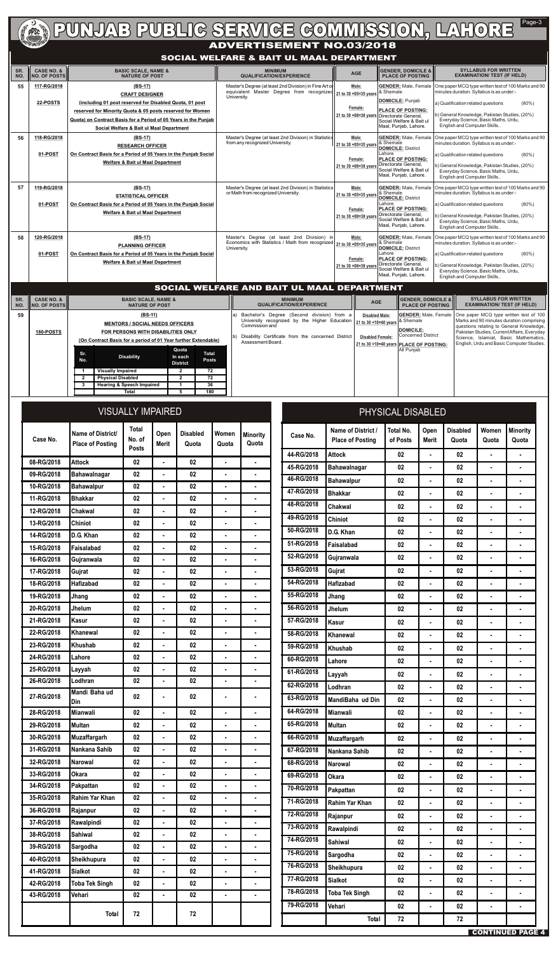| SR.<br>NO. | <b>CASE NO. &amp;</b><br><b>INO. OF POSTSI</b> | <b>BASIC SCALE, NAME &amp;</b><br><b>NATURE OF POST</b>                                                                                                                                                                                                                 | <b>MINIMUM</b><br><b>QUALIFICATION/EXPERIENCE</b>                                                                                       | <b>AGE</b>                                                         | <b>GENDER, DOMICILE &amp;</b><br><b>PLACE OF POSTING</b>                                                                                                                                                              | <b>SYLLABUS FOR WRITTEN</b><br><b>EXAMINATION/ TEST (IF HELD)</b>                                                                                                                                                                                                         |
|------------|------------------------------------------------|-------------------------------------------------------------------------------------------------------------------------------------------------------------------------------------------------------------------------------------------------------------------------|-----------------------------------------------------------------------------------------------------------------------------------------|--------------------------------------------------------------------|-----------------------------------------------------------------------------------------------------------------------------------------------------------------------------------------------------------------------|---------------------------------------------------------------------------------------------------------------------------------------------------------------------------------------------------------------------------------------------------------------------------|
| 55         | 117-RG/2018<br>22-POSTS                        | (BS-17)<br><b>CRAFT DESIGNER</b><br>(including 01 post reserved for Disabled Quota, 01 post<br>reserved for Minority Quota & 05 posts reserved for Women<br>Quota) on Contract Basis for a Period of 05 Years in the Punjab<br>Social Welfare & Bait ul Maal Department | Master's Degree (at least 2nd Division) in Fine Art of<br>equivalent Master Degree from recognized 21 to 30 +05=35 years<br>University. | Male:<br>Female:                                                   | <b>GENDER:</b> Male, Female<br>& Shemale<br>DOMICILE: Punjab<br><b>IPLACE OF POSTING:</b><br>21 to 30 +08=38 years Directorate General,<br>Social Welfare & Bait ul<br>Maal, Punjab, Lahore.                          | One paper MCQ type written test of 100 Marks and 90<br>minutes duration. Syllabus is as under:-<br>$(80\%)$<br>a) Qualification related questions<br>b) General Knowledge, Pakistan Studies, (20%)<br>Everyday Science, Basic Maths, Urdu,<br>English and Computer Skills |
| 56         | 118-RG/2018<br>01-POST                         | (BS-17)<br><b>RESEARCH OFFICER</b><br>On Contract Basis for a Period of 05 Years in the Punjab Social<br><b>Welfare &amp; Bait ul Maal Department</b>                                                                                                                   | Master's Degree (at least 2nd Division) in Statistics<br>from any recognized University.                                                | Male:<br>21 to 30 +05=35 years<br>Female:                          | <b>GENDER:</b> Male, Female<br>& Shemale<br><b>DOMICILE: District</b><br><b>Lahore</b><br><b>PLACE OF POSTING:</b><br>21 to 30 +08=38 years Directorate General,<br>Social Welfare & Bait ul<br>Maal, Punjab, Lahore. | One paper MCQ type written test of 100 Marks and 90<br>minutes duration. Syllabus is as under:-<br>$(80\%)$<br>a) Qualification related questions<br>b) General Knowledge, Pakistan Studies, (20%)<br>Everyday Science, Basic Maths, Urdu,<br>English and Computer Skills |
| 57         | 119-RG/2018<br>01-POST                         | $(BS-17)$<br><b>STATISTICAL OFFICER</b><br>On Contract Basis for a Period of 05 Years in the Punjab Social<br><b>Welfare &amp; Bait ul Maal Department</b>                                                                                                              | Master's Degree (at least 2nd Division) in Statistics<br>or Math from recognized University.                                            | Male:<br>21 to 30 +05=35 vears<br>Female:<br>21 to 30 +08=38 years | <b>IGENDER:</b> Male, Female<br>8. Shemale<br>DOMICILE: District<br>ILahore<br><b>PLACE OF POSTING:</b><br>Directorate General,<br><b>I</b> Social Welfare & Bait ul<br>Maal, Punjab, Lahore.                         | One paper MCQ type written test of 100 Marks and 90<br>minutes duration. Syllabus is as under:-<br>$(80\%)$<br>a) Qualification related questions<br>b) General Knowledge, Pakistan Studies, (20%)<br>Everyday Science, Basic Maths, Urdu,<br>English and Computer Skills |
| 58         | 120-RG/2018<br>01-POST                         | $(BS-17)$<br><b>PLANNING OFFICER</b><br>On Contract Basis for a Period of 05 Years in the Puniab Social<br><b>Welfare &amp; Bait ul Maal Department</b>                                                                                                                 | Master's Degree (at least 2nd Division) in<br>Economics with Statistics / Math from recognized 21 to 30 +05=35 years<br>University.     | Male:<br>Female:<br>21 to 30 +08=38 years                          | <b>GENDER:</b> Male, Female<br>& Shemale<br>DOMICILE: District<br><b>I</b> Lahore<br><b>PLACE OF POSTING:</b><br>Directorate General,<br>Social Welfare & Bait ul<br>Maal, Punjab, Lahore.                            | One paper MCQ type written test of 100 Marks and 90<br>minutes duration. Syllabus is as under:-<br>$(80\%)$<br>a) Qualification related questions<br>b) General Knowledge, Pakistan Studies, (20%)<br>Everyday Science, Basic Maths, Urdu,<br>English and Computer Skills |

## **ADVERTIGE COMMISSION, LAHORE** Page-3

## **SOCIAL WELFARE & BAIT UL MAAL DEPARTMENT**

**CONTINUED PAGE 4**

### **SOCIAL WELFARE AND BAIT UL MAAL DEPARTMENT**

| Case No.   | Name of District/<br><b>Place of Posting</b> | <b>VISUALLY IMPAIRED</b><br><b>Total</b><br>No. of<br><b>Posts</b> | Open<br><b>Merit</b> | <b>Disabled</b><br>Quota | Women<br>Quota | <b>Minority</b><br>Quota |
|------------|----------------------------------------------|--------------------------------------------------------------------|----------------------|--------------------------|----------------|--------------------------|
| 08-RG/2018 | <b>Attock</b>                                | 02                                                                 | $\blacksquare$       | 02                       |                |                          |
| 09-RG/2018 | <b>Bahawalnagar</b>                          | 02                                                                 | $\blacksquare$       | 02                       | ۰              | $\blacksquare$           |
| 10-RG/2018 | <b>Bahawalpur</b>                            | 02                                                                 | $\blacksquare$       | 02                       |                |                          |
| 11-RG/2018 | <b>Bhakkar</b>                               | 02                                                                 | $\blacksquare$       | 02                       |                | ۰                        |
| 12-RG/2018 | <b>Chakwal</b>                               | 02                                                                 | ۰                    | 02                       | $\blacksquare$ |                          |
| 13-RG/2018 | <b>Chiniot</b>                               | 02                                                                 | ۰                    | 02                       |                | ٠                        |
| 14-RG/2018 | D.G. Khan                                    | 02                                                                 | $\blacksquare$       | 02                       |                |                          |
| 15-RG/2018 | <b>Faisalabad</b>                            | 02                                                                 |                      | 02                       |                |                          |
| 16-RG/2018 | Gujranwala                                   | 02                                                                 | ۰                    | 02                       |                |                          |
| 17-RG/2018 | Gujrat                                       | 02 <sub>2</sub>                                                    | $\blacksquare$       | 02                       | ۰              | ۰                        |
| 18-RG/2018 | <b>Hafizabad</b>                             | 02                                                                 | ä,                   | 02                       | $\blacksquare$ |                          |
| 19-RG/2018 | Jhang                                        | 02                                                                 |                      | 02                       |                | $\blacksquare$           |
| 20-RG/2018 | Jhelum                                       | 02                                                                 | ä,                   | 02                       | $\blacksquare$ | $\blacksquare$           |
| 21-RG/2018 | <b>Kasur</b>                                 | 02                                                                 | $\blacksquare$       | 02                       | $\blacksquare$ |                          |
| 22-RG/2018 | Khanewal                                     | 02                                                                 | $\blacksquare$       | 02                       |                | $\blacksquare$           |
| 23-RG/2018 | <b>Khushab</b>                               | 02                                                                 |                      | 02                       |                |                          |
| 24-RG/2018 | Lahore                                       | 02                                                                 | $\blacksquare$       | 02                       |                | $\blacksquare$           |
| 25-RG/2018 | Layyah                                       | 02                                                                 | $\blacksquare$       | 02                       | $\blacksquare$ | $\blacksquare$           |
| 26-RG/2018 | Lodhran                                      | 02                                                                 | $\blacksquare$       | 02                       |                |                          |
| 27-RG/2018 | Mandi Baha ud<br>Din                         | 02                                                                 |                      | 02                       |                |                          |
| 28-RG/2018 | <b>Mianwali</b>                              | 02                                                                 | $\blacksquare$       | 02                       | $\blacksquare$ | $\blacksquare$           |
| 29-RG/2018 | <b>Multan</b>                                | 02                                                                 |                      | 02                       |                |                          |
| 30-RG/2018 | <b>Muzaffargarh</b>                          | 02                                                                 | ۰                    | 02                       |                | $\blacksquare$           |
| 31-RG/2018 | Nankana Sahib                                | 02                                                                 | ۰                    | 02                       | $\blacksquare$ |                          |
| 32-RG/2018 | <b>Narowal</b>                               | 02                                                                 | $\blacksquare$       | 02                       |                |                          |
| 33-RG/2018 | <b>Okara</b>                                 | 02                                                                 | $\blacksquare$       | 02                       |                | $\blacksquare$           |
| 34-RG/2018 | Pakpattan                                    | 02                                                                 |                      | 02                       |                | ٠                        |
| 35-RG/2018 | <b>Rahim Yar Khan</b>                        | 02                                                                 | $\blacksquare$       | 02                       |                |                          |
| 36-RG/2018 | Rajanpur                                     | 02                                                                 | ä,                   | 02                       |                |                          |
| 37-RG/2018 | Rawalpindi                                   | 02                                                                 |                      | 02                       |                |                          |
| 38-RG/2018 | <b>Sahiwal</b>                               | 02 <sub>2</sub>                                                    | $\blacksquare$       | 02                       | ۰              | ۰                        |
| 39-RG/2018 | Sargodha                                     | 02                                                                 | ä,                   | 02                       |                | ٠                        |
| 40-RG/2018 | Sheikhupura                                  | 02                                                                 | $\blacksquare$       | 02                       |                | ۰                        |
| 41-RG/2018 | <b>Sialkot</b>                               | 02                                                                 | ۰                    | 02                       | $\blacksquare$ | ٠                        |
| 42-RG/2018 | <b>Toba Tek Singh</b>                        | 02                                                                 | $\blacksquare$       | 02                       | $\blacksquare$ | ۰                        |
| 43-RG/2018 | <b>Vehari</b>                                | 02                                                                 | $\blacksquare$       | 02                       |                | ٠                        |
|            | <b>Total</b>                                 | 72                                                                 |                      | 72                       |                |                          |

| SR.<br>NO. | <b>CASE NO. &amp;</b><br><b>IINO. OF POSTSI</b> |            | <b>BASIC SCALE, NAME &amp;</b><br><b>NATURE OF POST</b>                                                                                                                        |                                     |                              | <b>MINIMUM</b><br><b>QUALIFICATION/EXPERIENCE</b>                                                                                                                                                                                    | <b>AGE</b> | <b>GENDER, DOMICILE &amp; I</b><br><b>PLACE OF POSTING</b> | <b>SYLLABUS FOR WRITTEN</b><br><b>EXAMINATION/ TEST (IF HELD)</b>                                |                                                                                                                                                                                                                                                                                                   |
|------------|-------------------------------------------------|------------|--------------------------------------------------------------------------------------------------------------------------------------------------------------------------------|-------------------------------------|------------------------------|--------------------------------------------------------------------------------------------------------------------------------------------------------------------------------------------------------------------------------------|------------|------------------------------------------------------------|--------------------------------------------------------------------------------------------------|---------------------------------------------------------------------------------------------------------------------------------------------------------------------------------------------------------------------------------------------------------------------------------------------------|
| 59         | 180-POSTS                                       | Sr.<br>No. | (BS-11)<br><b>MENTORS / SOCIAL NEEDS OFFICERS</b><br>FOR PERSONS WITH DISABILITIES ONLY<br>(On Contract Basis for a period of 01 Year further Extendable)<br><b>Disability</b> | Quota<br>In each<br><b>District</b> | <b>Total</b><br><b>Posts</b> | Bachelor's Degree (Second division) from a<br>University recognized by the Higher Education $\frac{1}{21}$ to 30 +10=40 years & Shemale<br>Commission and<br>Disability Certificate from the concerned District<br>Assessment Board. |            | <b>Disabled Male:</b><br><b>Disabled Female:</b>           | <b>IDOMICILE:</b><br>Concerned District<br>21 to 30 +10=40 years PLACE OF POSTING:<br>All Punjab | <b>GENDER:</b> Male, Female   One paper MCQ type written test of 100<br>Marks and 90 minutes duration comprising<br>questions relating to General Knowledge,<br>Pakistan Studies, Current Affairs, Everyday<br>Science, Islamiat, Basic Mathematics,<br>English, Urdu and Basic Computer Studies. |
|            |                                                 |            | <b>Visually Impaired</b>                                                                                                                                                       |                                     | 72                           |                                                                                                                                                                                                                                      |            |                                                            |                                                                                                  |                                                                                                                                                                                                                                                                                                   |
|            |                                                 |            | <b>Physical Disabled</b>                                                                                                                                                       |                                     | 72                           |                                                                                                                                                                                                                                      |            |                                                            |                                                                                                  |                                                                                                                                                                                                                                                                                                   |
|            |                                                 |            | <b>Hearing &amp; Speech Impaired</b>                                                                                                                                           |                                     | 36                           |                                                                                                                                                                                                                                      |            |                                                            |                                                                                                  |                                                                                                                                                                                                                                                                                                   |
|            |                                                 |            | Total                                                                                                                                                                          |                                     | 180                          |                                                                                                                                                                                                                                      |            |                                                            |                                                                                                  |                                                                                                                                                                                                                                                                                                   |

| PHYSICAL DISABLED |                         |                  |                              |                 |                |                 |  |  |  |  |  |
|-------------------|-------------------------|------------------|------------------------------|-----------------|----------------|-----------------|--|--|--|--|--|
| Case No.          | Name of District /      | <b>Total No.</b> | Open                         | <b>Disabled</b> | Women          | <b>Minority</b> |  |  |  |  |  |
|                   | <b>Place of Posting</b> | of Posts         | <b>Merit</b>                 | Quota           | Quota          | Quota           |  |  |  |  |  |
| 44-RG/2018        | <b>Attock</b>           | 02               | $\blacksquare$               | 02              |                |                 |  |  |  |  |  |
| 45-RG/2018        | <b>Bahawalnagar</b>     | 02               | ۰                            | 02              |                |                 |  |  |  |  |  |
| 46-RG/2018        | <b>Bahawalpur</b>       | 02               | ۰                            | 02              | ۰              |                 |  |  |  |  |  |
| 47-RG/2018        | <b>Bhakkar</b>          | 02               | ۰                            | 02              | ۰              | ۰               |  |  |  |  |  |
| 48-RG/2018        | <b>Chakwal</b>          | 02               | $\blacksquare$               | 02              |                |                 |  |  |  |  |  |
| 49-RG/2018        | <b>Chiniot</b>          | 02               | ۰                            | 02              | $\blacksquare$ |                 |  |  |  |  |  |
| 50-RG/2018        | D.G. Khan               | 02               | $\blacksquare$               | 02              |                |                 |  |  |  |  |  |
| 51-RG/2018        | <b>Faisalabad</b>       | 02               | $\blacksquare$               | 02              |                |                 |  |  |  |  |  |
| 52-RG/2018        | Gujranwala              | 02               | ۰                            | 02              |                |                 |  |  |  |  |  |
| 53-RG/2018        | Gujrat                  | 02               | $\blacksquare$               | 02              |                |                 |  |  |  |  |  |
| 54-RG/2018        | <b>Hafizabad</b>        | 02               | $\blacksquare$               | 02              |                |                 |  |  |  |  |  |
| 55-RG/2018        | Jhang                   | 02               | $\blacksquare$               | 02              |                |                 |  |  |  |  |  |
| 56-RG/2018        | Jhelum                  | 02               | $\blacksquare$               | 02              |                |                 |  |  |  |  |  |
| 57-RG/2018        | <b>Kasur</b>            | 02               | $\blacksquare$               | 02              |                |                 |  |  |  |  |  |
| 58-RG/2018        | <b>Khanewal</b>         | 02               | $\blacksquare$               | 02              | $\blacksquare$ |                 |  |  |  |  |  |
| 59-RG/2018        | <b>Khushab</b>          | 02               |                              | 02              |                |                 |  |  |  |  |  |
| 60-RG/2018        | Lahore                  | 02               | $\blacksquare$               | 02              |                |                 |  |  |  |  |  |
| 61-RG/2018        | Layyah                  | 02               |                              | 02              |                |                 |  |  |  |  |  |
| 62-RG/2018        | Lodhran                 | 02               | ۰                            | 02              |                | ۰               |  |  |  |  |  |
| 63-RG/2018        | MandiBaha ud Din        | 02               | $\qquad \qquad \blacksquare$ | 02              |                | ۰               |  |  |  |  |  |
| 64-RG/2018        | <b>Mianwali</b>         | 02               | ٠                            | 02              | ۰              | ۰               |  |  |  |  |  |
| 65-RG/2018        | <b>Multan</b>           | 02               | ٠                            | 02              | $\blacksquare$ | ۰               |  |  |  |  |  |
| 66-RG/2018        | <b>Muzaffargarh</b>     | 02               | $\blacksquare$               | 02              | ۰              |                 |  |  |  |  |  |
| 67-RG/2018        | Nankana Sahib           | 02               | $\blacksquare$               | 02              |                | $\blacksquare$  |  |  |  |  |  |
| 68-RG/2018        | <b>Narowal</b>          | 02               | ٠                            | 02              |                |                 |  |  |  |  |  |
| 69-RG/2018        | <b>Okara</b>            | 02               | $\qquad \qquad \blacksquare$ | 02              |                |                 |  |  |  |  |  |
| 70-RG/2018        | Pakpattan               | 02               | ۰                            | 02              | ۰              |                 |  |  |  |  |  |
| 71-RG/2018        | <b>Rahim Yar Khan</b>   | 02               | ۰                            | 02              | ۰              | ۰               |  |  |  |  |  |
| 72-RG/2018        | Rajanpur                | 02               | ۰                            | 02              | $\blacksquare$ | ۰               |  |  |  |  |  |
| 73-RG/2018        | Rawalpindi              | 02               | $\blacksquare$               | 02              |                |                 |  |  |  |  |  |
| 74-RG/2018        | <b>Sahiwal</b>          | 02               | $\qquad \qquad \blacksquare$ | 02              |                |                 |  |  |  |  |  |
| 75-RG/2018        | Sargodha                | 02               | ٠                            | 02              | ۰              | ۰               |  |  |  |  |  |
| 76-RG/2018        | Sheikhupura             | 02               | ٠                            | 02              | ۰              | ۰               |  |  |  |  |  |
| 77-RG/2018        | <b>Sialkot</b>          | 02               | ٠                            | 02              | $\blacksquare$ | ۰               |  |  |  |  |  |
| 78-RG/2018        | <b>Toba Tek Singh</b>   | 02               | ٠                            | 02              | ۰              |                 |  |  |  |  |  |
|                   |                         |                  |                              |                 |                |                 |  |  |  |  |  |
| 79-RG/2018        | Vehari                  | 02               | $\blacksquare$               | 02              |                |                 |  |  |  |  |  |